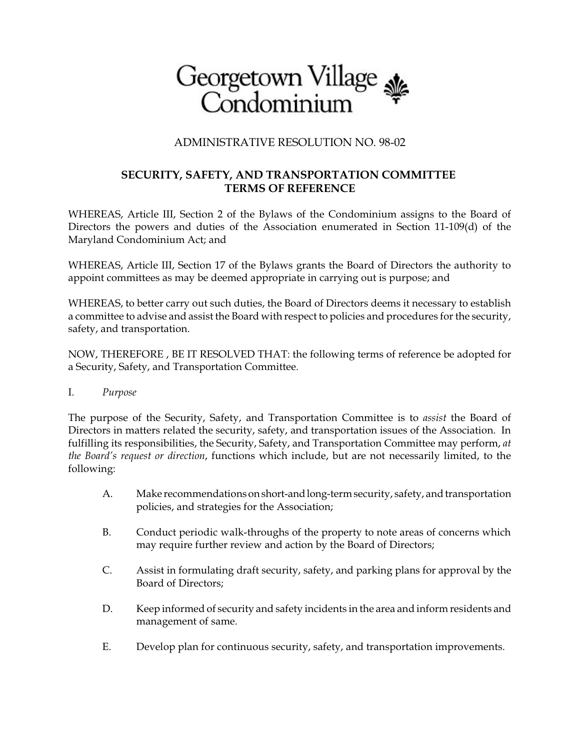

## ADMINISTRATIVE RESOLUTION NO. 98-02

## **SECURITY, SAFETY, AND TRANSPORTATION COMMITTEE TERMS OF REFERENCE**

WHEREAS, Article III, Section 2 of the Bylaws of the Condominium assigns to the Board of Directors the powers and duties of the Association enumerated in Section 11-109(d) of the Maryland Condominium Act; and

WHEREAS, Article III, Section 17 of the Bylaws grants the Board of Directors the authority to appoint committees as may be deemed appropriate in carrying out is purpose; and

WHEREAS, to better carry out such duties, the Board of Directors deems it necessary to establish a committee to advise and assist the Board with respect to policies and procedures for the security, safety, and transportation.

NOW, THEREFORE , BE IT RESOLVED THAT: the following terms of reference be adopted for a Security, Safety, and Transportation Committee.

I. *Purpose*

The purpose of the Security, Safety, and Transportation Committee is to *assist* the Board of Directors in matters related the security, safety, and transportation issues of the Association. In fulfilling its responsibilities, the Security, Safety, and Transportation Committee may perform, *at the Board's request or direction*, functions which include, but are not necessarily limited, to the following:

- A. Make recommendations on short-and long-term security, safety, and transportation policies, and strategies for the Association;
- B. Conduct periodic walk-throughs of the property to note areas of concerns which may require further review and action by the Board of Directors;
- C. Assist in formulating draft security, safety, and parking plans for approval by the Board of Directors;
- D. Keep informed of security and safety incidents in the area and inform residents and management of same.
- E. Develop plan for continuous security, safety, and transportation improvements.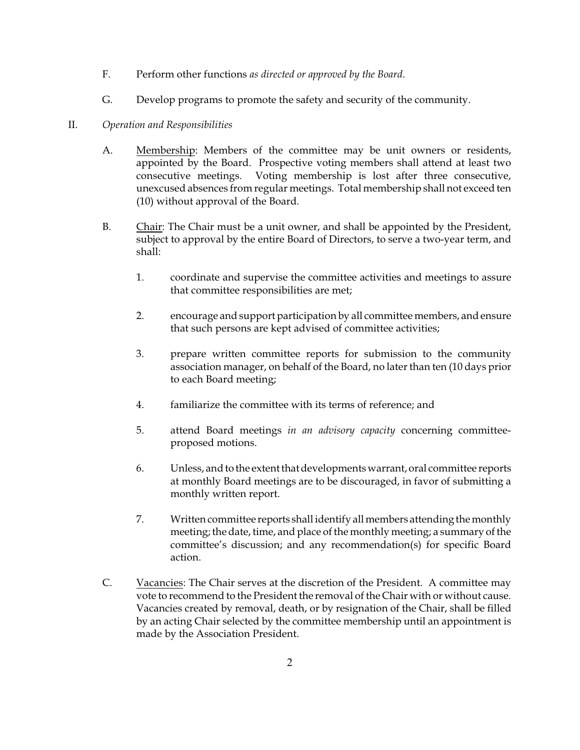- F. Perform other functions *as directed or approved by the Board*.
- G. Develop programs to promote the safety and security of the community.

## II. *Operation and Responsibilities*

- A. Membership: Members of the committee may be unit owners or residents, appointed by the Board. Prospective voting members shall attend at least two consecutive meetings. Voting membership is lost after three consecutive, unexcused absences from regular meetings. Total membership shall not exceed ten (10) without approval of the Board.
- B. Chair: The Chair must be a unit owner, and shall be appointed by the President, subject to approval by the entire Board of Directors, to serve a two-year term, and shall:
	- 1. coordinate and supervise the committee activities and meetings to assure that committee responsibilities are met;
	- 2. encourage and support participation by all committee members, and ensure that such persons are kept advised of committee activities;
	- 3. prepare written committee reports for submission to the community association manager, on behalf of the Board, no later than ten (10 days prior to each Board meeting;
	- 4. familiarize the committee with its terms of reference; and
	- 5. attend Board meetings *in an advisory capacity* concerning committeeproposed motions.
	- 6. Unless, and to the extent that developments warrant, oral committee reports at monthly Board meetings are to be discouraged, in favor of submitting a monthly written report.
	- 7. Written committee reports shall identify all members attending the monthly meeting; the date, time, and place of the monthly meeting; a summary of the committee's discussion; and any recommendation(s) for specific Board action.
- C. Vacancies: The Chair serves at the discretion of the President. A committee may vote to recommend to the President the removal of the Chair with or without cause. Vacancies created by removal, death, or by resignation of the Chair, shall be filled by an acting Chair selected by the committee membership until an appointment is made by the Association President.